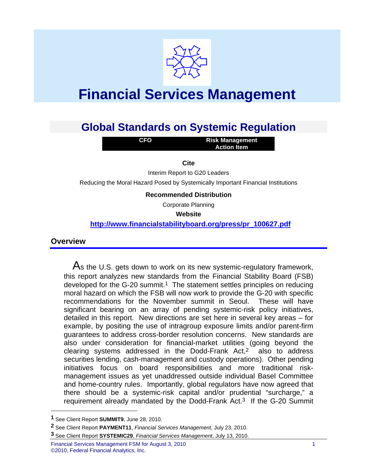

# **Financial Services Management**

# **Global Standards on Systemic Regulation**

**CFO** 

**Risk Management Action Item** 

**Cite** 

Interim Report to G20 Leaders

Reducing the Moral Hazard Posed by Systemically Important Financial Institutions

#### **Recommended Distribution**

Corporate Planning

**Website** 

**http://www.financialstabilityboard.org/press/pr\_100627.pdf**

#### **Overview**

1

As the U.S. gets down to work on its new systemic-regulatory framework, this report analyzes new standards from the Financial Stability Board (FSB) developed for the G-20 summit.<sup>1</sup> The statement settles principles on reducing moral hazard on which the FSB will now work to provide the G-20 with specific recommendations for the November summit in Seoul. These will have significant bearing on an array of pending systemic-risk policy initiatives, detailed in this report. New directions are set here in several key areas – for example, by positing the use of intragroup exposure limits and/or parent-firm guarantees to address cross-border resolution concerns. New standards are also under consideration for financial-market utilities (going beyond the clearing systems addressed in the Dodd-Frank Act,2 also to address securities lending, cash-management and custody operations). Other pending initiatives focus on board responsibilities and more traditional riskmanagement issues as yet unaddressed outside individual Basel Committee and home-country rules. Importantly, global regulators have now agreed that there should be a systemic-risk capital and/or prudential "surcharge," a requirement already mandated by the Dodd-Frank Act.3 If the G-20 Summit

**<sup>1</sup>** See Client Report **SUMMIT9**, June 28, 2010.

**<sup>2</sup>** See Client Report **PAYMENT11**, *Financial Services Management*, July 23, 2010.

**<sup>3</sup>** See Client Report **SYSTEMIC29**, *Financial Services Management*, July 13, 2010.

Financial Services Management FSM for August 3, 2010 1 ©2010, Federal Financial Analytics, Inc.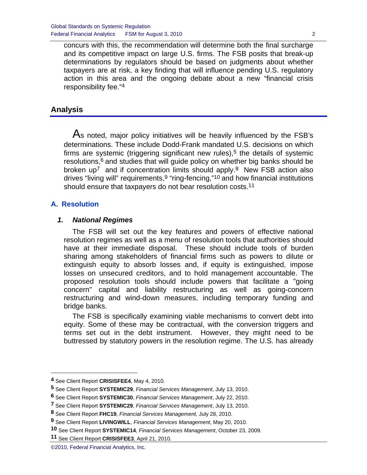concurs with this, the recommendation will determine both the final surcharge and its competitive impact on large U.S. firms. The FSB posits that break-up determinations by regulators should be based on judgments about whether taxpayers are at risk, a key finding that will influence pending U.S. regulatory action in this area and the ongoing debate about a new "financial crisis responsibility fee."4

# **Analysis**

As noted, major policy initiatives will be heavily influenced by the FSB's determinations. These include Dodd-Frank mandated U.S. decisions on which firms are systemic (triggering significant new rules),<sup>5</sup> the details of systemic  $resolutions$ <sup>6</sup> and studies that will guide policy on whether big banks should be broken up<sup>7</sup> and if concentration limits should apply.<sup>8</sup> New FSB action also drives "living will" requirements, <sup>9</sup> "ring-fencing,"<sup>10</sup> and how financial institutions should ensure that taxpayers do not bear resolution costs.<sup>11</sup>

# **A. Resolution**

1

# *1. National Regimes*

 The FSB will set out the key features and powers of effective national resolution regimes as well as a menu of resolution tools that authorities should have at their immediate disposal. These should include tools of burden sharing among stakeholders of financial firms such as powers to dilute or extinguish equity to absorb losses and, if equity is extinguished, impose losses on unsecured creditors, and to hold management accountable. The proposed resolution tools should include powers that facilitate a "going concern" capital and liability restructuring as well as going-concern restructuring and wind-down measures, including temporary funding and bridge banks.

 The FSB is specifically examining viable mechanisms to convert debt into equity. Some of these may be contractual, with the conversion triggers and terms set out in the debt instrument. However, they might need to be buttressed by statutory powers in the resolution regime. The U.S. has already

**<sup>4</sup>** See Client Report **CRISISFEE4**, May 4, 2010.

**<sup>5</sup>** See Client Report **SYSTEMIC29**, *Financial Services Management*, July 13, 2010.

**<sup>6</sup>** See Client Report **SYSTEMIC30**, *Financial Services Management*, July 22, 2010.

**<sup>7</sup>** See Client Report **SYSTEMIC29**, *Financial Services Management*, July 13, 2010.

**<sup>8</sup>** See Client Report **FHC19**, *Financial Services Management,* July 28, 2010.

**<sup>9</sup>** See Client Report **LIVINGWILL**, *Financial Services Management*, May 20, 2010.

**<sup>10</sup>** See Client Report **SYSTEMIC14**, *Financial Services Management*, October 23, 2009.

**<sup>11</sup>** See Client Report **CRISISFEE3**, April 21, 2010.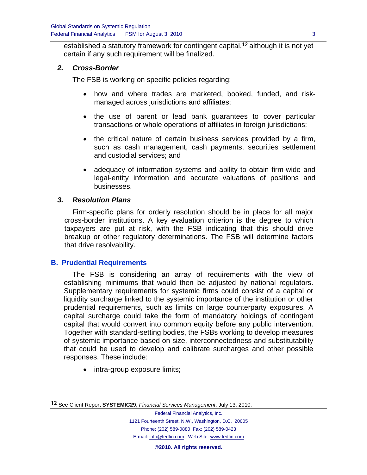established a statutory framework for contingent capital,<sup>12</sup> although it is not yet certain if any such requirement will be finalized.

#### *2. Cross-Border*

The FSB is working on specific policies regarding:

- how and where trades are marketed, booked, funded, and riskmanaged across jurisdictions and affiliates;
- the use of parent or lead bank guarantees to cover particular transactions or whole operations of affiliates in foreign jurisdictions;
- the critical nature of certain business services provided by a firm, such as cash management, cash payments, securities settlement and custodial services; and
- adequacy of information systems and ability to obtain firm-wide and legal-entity information and accurate valuations of positions and businesses.

#### *3. Resolution Plans*

 Firm-specific plans for orderly resolution should be in place for all major cross-border institutions. A key evaluation criterion is the degree to which taxpayers are put at risk, with the FSB indicating that this should drive breakup or other regulatory determinations. The FSB will determine factors that drive resolvability.

#### **B. Prudential Requirements**

1

 The FSB is considering an array of requirements with the view of establishing minimums that would then be adjusted by national regulators. Supplementary requirements for systemic firms could consist of a capital or liquidity surcharge linked to the systemic importance of the institution or other prudential requirements, such as limits on large counterparty exposures. A capital surcharge could take the form of mandatory holdings of contingent capital that would convert into common equity before any public intervention. Together with standard-setting bodies, the FSBs working to develop measures of systemic importance based on size, interconnectedness and substitutability that could be used to develop and calibrate surcharges and other possible responses. These include:

• intra-group exposure limits;

**©2010. All rights reserved.**

**<sup>12</sup>** See Client Report **SYSTEMIC29**, *Financial Services Management*, July 13, 2010.

Federal Financial Analytics, Inc. 1121 Fourteenth Street, N.W., Washington, D.C. 20005 Phone: (202) 589-0880 Fax: (202) 589-0423 E-mail: info@fedfin.com Web Site: www.fedfin.com